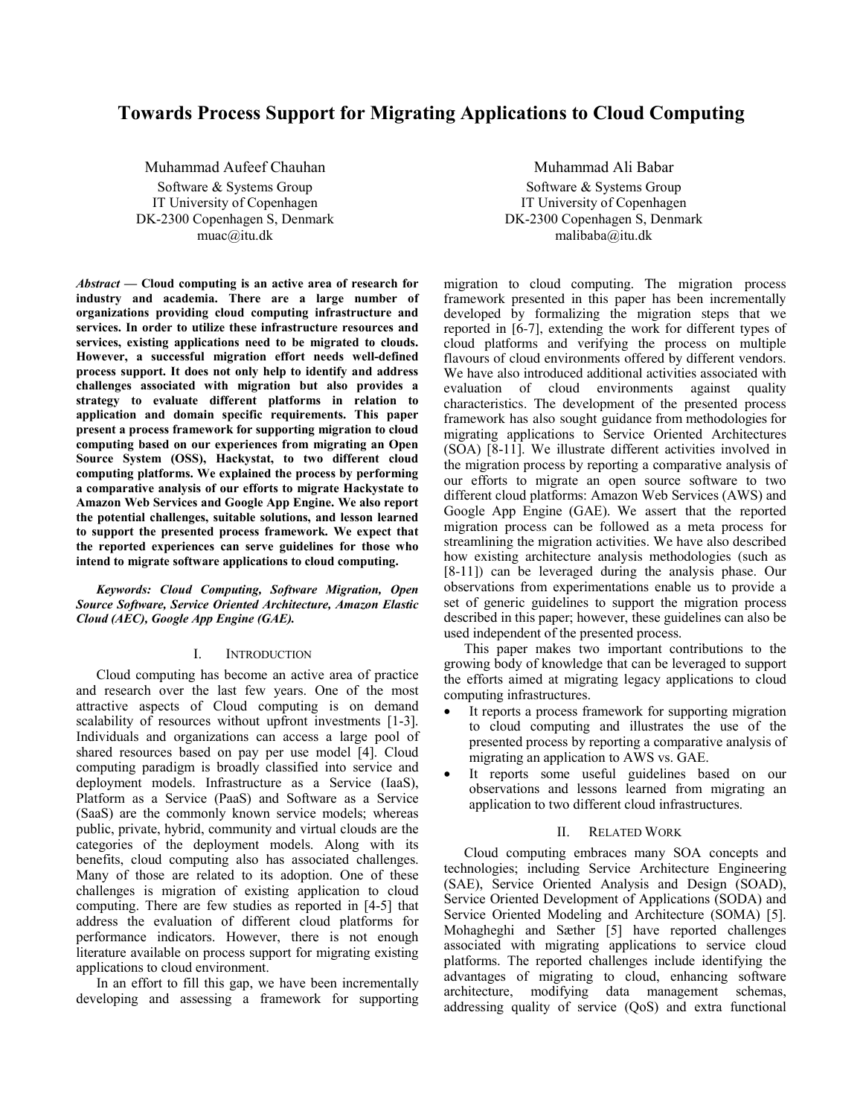# **Towards Process Support for Migrating Applications to Cloud Computing**

Muhammad Aufeef Chauhan Software & Systems Group IT University of Copenhagen DK-2300 Copenhagen S, Denmark muac@itu.dk

*Abstract* **— Cloud computing is an active area of research for industry and academia. There are a large number of organizations providing cloud computing infrastructure and services. In order to utilize these infrastructure resources and services, existing applications need to be migrated to clouds. However, a successful migration effort needs well-defined process support. It does not only help to identify and address challenges associated with migration but also provides a strategy to evaluate different platforms in relation to application and domain specific requirements. This paper present a process framework for supporting migration to cloud computing based on our experiences from migrating an Open Source System (OSS), Hackystat, to two different cloud computing platforms. We explained the process by performing a comparative analysis of our efforts to migrate Hackystate to Amazon Web Services and Google App Engine. We also report the potential challenges, suitable solutions, and lesson learned to support the presented process framework. We expect that the reported experiences can serve guidelines for those who intend to migrate software applications to cloud computing.** 

*Keywords: Cloud Computing, Software Migration, Open Source Software, Service Oriented Architecture, Amazon Elastic Cloud (AEC), Google App Engine (GAE).* 

#### I. INTRODUCTION

Cloud computing has become an active area of practice and research over the last few years. One of the most attractive aspects of Cloud computing is on demand scalability of resources without upfront investments [1-3]. Individuals and organizations can access a large pool of shared resources based on pay per use model [4]. Cloud computing paradigm is broadly classified into service and deployment models. Infrastructure as a Service (IaaS), Platform as a Service (PaaS) and Software as a Service (SaaS) are the commonly known service models; whereas public, private, hybrid, community and virtual clouds are the categories of the deployment models. Along with its benefits, cloud computing also has associated challenges. Many of those are related to its adoption. One of these challenges is migration of existing application to cloud computing. There are few studies as reported in [4-5] that address the evaluation of different cloud platforms for performance indicators. However, there is not enough literature available on process support for migrating existing applications to cloud environment.

In an effort to fill this gap, we have been incrementally developing and assessing a framework for supporting

Muhammad Ali Babar Software & Systems Group IT University of Copenhagen DK-2300 Copenhagen S, Denmark malibaba@itu.dk

migration to cloud computing. The migration process framework presented in this paper has been incrementally developed by formalizing the migration steps that we reported in [6-7], extending the work for different types of cloud platforms and verifying the process on multiple flavours of cloud environments offered by different vendors. We have also introduced additional activities associated with evaluation of cloud environments against quality characteristics. The development of the presented process framework has also sought guidance from methodologies for migrating applications to Service Oriented Architectures (SOA) [8-11]. We illustrate different activities involved in the migration process by reporting a comparative analysis of our efforts to migrate an open source software to two different cloud platforms: Amazon Web Services (AWS) and Google App Engine (GAE). We assert that the reported migration process can be followed as a meta process for streamlining the migration activities. We have also described how existing architecture analysis methodologies (such as [8-11]) can be leveraged during the analysis phase. Our observations from experimentations enable us to provide a set of generic guidelines to support the migration process described in this paper; however, these guidelines can also be used independent of the presented process.

This paper makes two important contributions to the growing body of knowledge that can be leveraged to support the efforts aimed at migrating legacy applications to cloud computing infrastructures.

- It reports a process framework for supporting migration to cloud computing and illustrates the use of the presented process by reporting a comparative analysis of migrating an application to AWS vs. GAE.
- It reports some useful guidelines based on our observations and lessons learned from migrating an application to two different cloud infrastructures.

#### II. RELATED WORK

Cloud computing embraces many SOA concepts and technologies; including Service Architecture Engineering (SAE), Service Oriented Analysis and Design (SOAD), Service Oriented Development of Applications (SODA) and Service Oriented Modeling and Architecture (SOMA) [5]. Mohagheghi and Sæther [5] have reported challenges associated with migrating applications to service cloud platforms. The reported challenges include identifying the advantages of migrating to cloud, enhancing software architecture, modifying data management schemas, addressing quality of service (QoS) and extra functional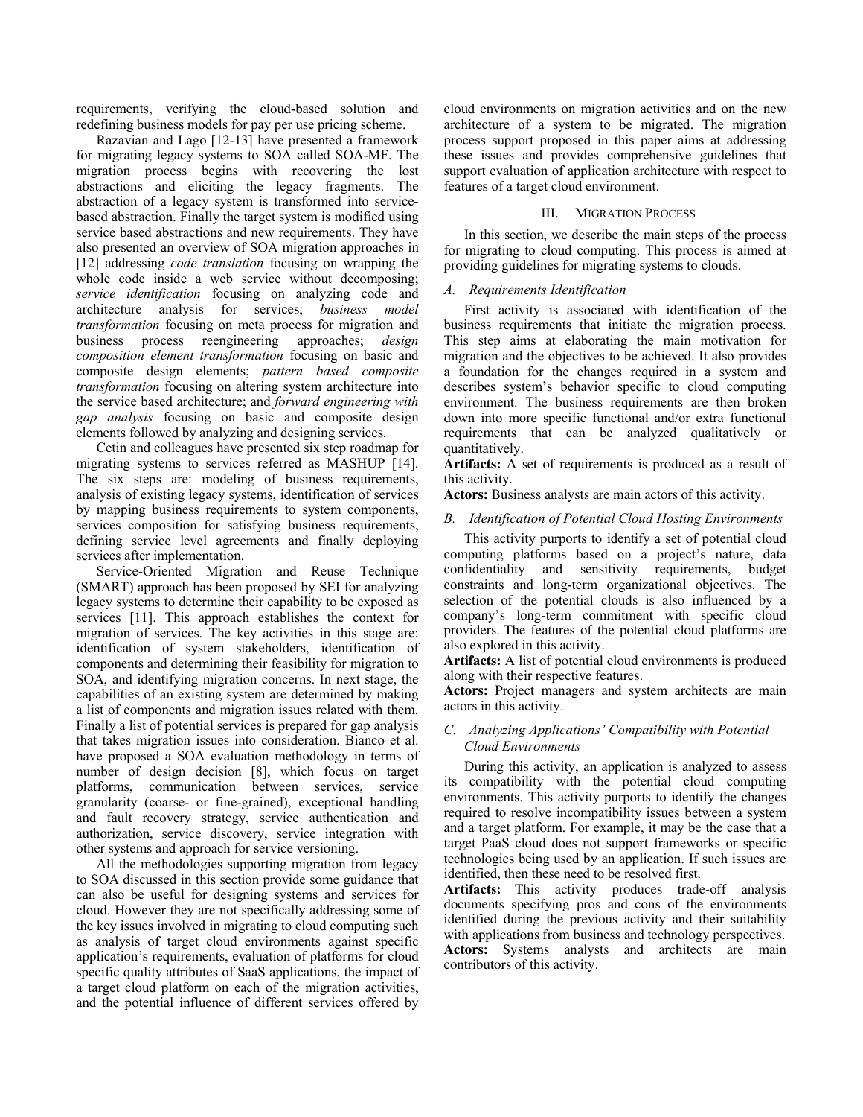requirements, verifying the cloud-based solution and redefining business models for pay per use pricing scheme.

Razavian and Lago [12-13] have presented a framework for migrating legacy systems to SOA called SOA-MF. The migration process begins with recovering the lost abstractions and eliciting the legacy fragments. The abstraction of a legacy system is transformed into servicebased abstraction. Finally the target system is modified using service based abstractions and new requirements. They have also presented an overview of SOA migration approaches in [12] addressing *code translation* focusing on wrapping the whole code inside a web service without decomposing; *service identification* focusing on analyzing code and architecture analysis for services; *business model transformation* focusing on meta process for migration and business process reengineering approaches; *design composition element transformation* focusing on basic and composite design elements; *pattern based composite transformation* focusing on altering system architecture into the service based architecture; and *forward engineering with gap analysis* focusing on basic and composite design elements followed by analyzing and designing services.

Cetin and colleagues have presented six step roadmap for migrating systems to services referred as MASHUP [14]. The six steps are: modeling of business requirements, analysis of existing legacy systems, identification of services by mapping business requirements to system components, services composition for satisfying business requirements, defining service level agreements and finally deploying services after implementation.

Service-Oriented Migration and Reuse Technique (SMART) approach has been proposed by SEI for analyzing legacy systems to determine their capability to be exposed as services [11]. This approach establishes the context for migration of services. The key activities in this stage are: identification of system stakeholders, identification of components and determining their feasibility for migration to SOA, and identifying migration concerns. In next stage, the capabilities of an existing system are determined by making a list of components and migration issues related with them. Finally a list of potential services is prepared for gap analysis that takes migration issues into consideration. Bianco et al. have proposed a SOA evaluation methodology in terms of number of design decision [8], which focus on target platforms, communication between services, service granularity (coarse- or fine-grained), exceptional handling and fault recovery strategy, service authentication and authorization, service discovery, service integration with other systems and approach for service versioning.

All the methodologies supporting migration from legacy to SOA discussed in this section provide some guidance that can also be useful for designing systems and services for cloud. However they are not specifically addressing some of the key issues involved in migrating to cloud computing such as analysis of target cloud environments against specific application's requirements, evaluation of platforms for cloud specific quality attributes of SaaS applications, the impact of a target cloud platform on each of the migration activities, and the potential influence of different services offered by

cloud environments on migration activities and on the new architecture of a system to be migrated. The migration process support proposed in this paper aims at addressing these issues and provides comprehensive guidelines that support evaluation of application architecture with respect to features of a target cloud environment.

#### III. MIGRATION PROCESS

In this section, we describe the main steps of the process for migrating to cloud computing. This process is aimed at providing guidelines for migrating systems to clouds.

#### *A. Requirements Identification*

First activity is associated with identification of the business requirements that initiate the migration process. This step aims at elaborating the main motivation for migration and the objectives to be achieved. It also provides a foundation for the changes required in a system and describes system's behavior specific to cloud computing environment. The business requirements are then broken down into more specific functional and/or extra functional requirements that can be analyzed qualitatively or quantitatively.

**Artifacts:** A set of requirements is produced as a result of this activity.

**Actors:** Business analysts are main actors of this activity.

#### *B. Identification of Potential Cloud Hosting Environments*

This activity purports to identify a set of potential cloud computing platforms based on a project's nature, data confidentiality and sensitivity requirements, budget constraints and long-term organizational objectives. The selection of the potential clouds is also influenced by a company's long-term commitment with specific cloud providers. The features of the potential cloud platforms are also explored in this activity.

**Artifacts:** A list of potential cloud environments is produced along with their respective features.

**Actors:** Project managers and system architects are main actors in this activity.

# *C. Analyzing Applications' Compatibility with Potential Cloud Environments*

During this activity, an application is analyzed to assess its compatibility with the potential cloud computing environments. This activity purports to identify the changes required to resolve incompatibility issues between a system and a target platform. For example, it may be the case that a target PaaS cloud does not support frameworks or specific technologies being used by an application. If such issues are identified, then these need to be resolved first.

**Artifacts:** This activity produces trade-off analysis documents specifying pros and cons of the environments identified during the previous activity and their suitability with applications from business and technology perspectives. Actors: Systems analysts and architects are main contributors of this activity.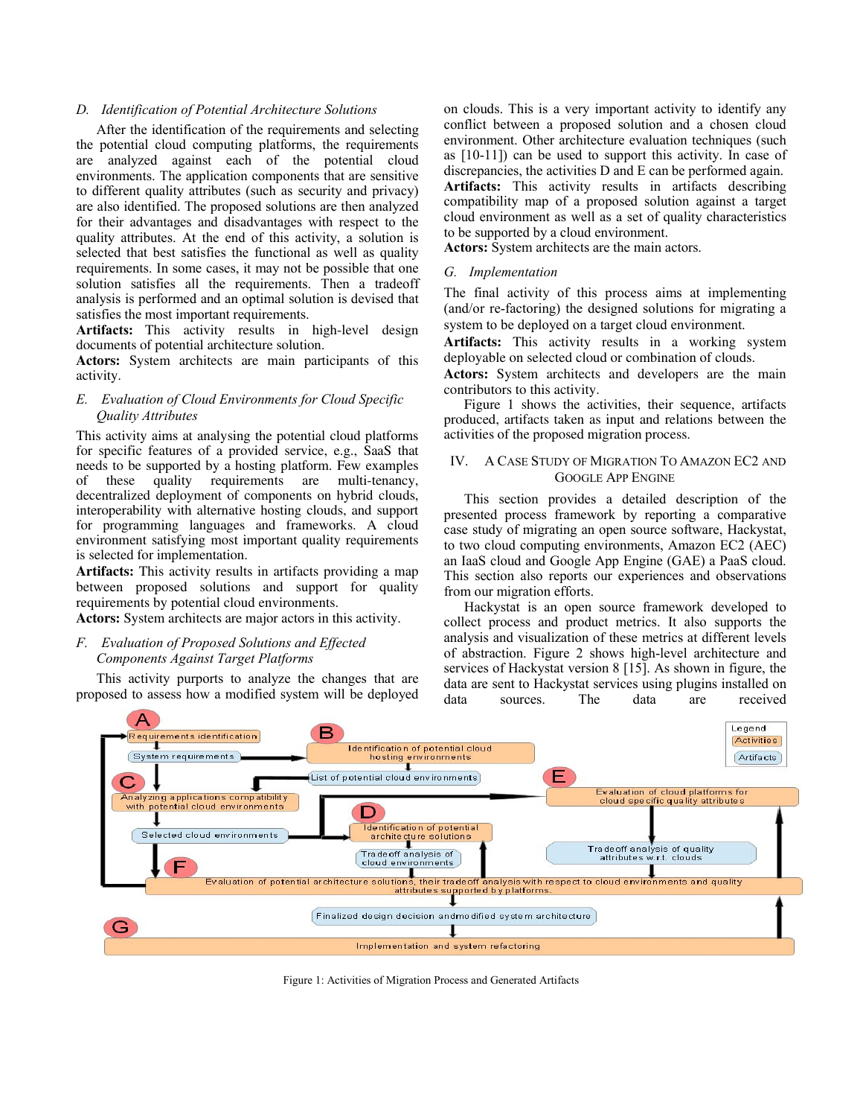#### *D. Identification of Potential Architecture Solutions*

After the identification of the requirements and selecting the potential cloud computing platforms, the requirements are analyzed against each of the potential cloud environments. The application components that are sensitive to different quality attributes (such as security and privacy) are also identified. The proposed solutions are then analyzed for their advantages and disadvantages with respect to the quality attributes. At the end of this activity, a solution is selected that best satisfies the functional as well as quality requirements. In some cases, it may not be possible that one solution satisfies all the requirements. Then a tradeoff analysis is performed and an optimal solution is devised that satisfies the most important requirements.

**Artifacts:** This activity results in high-level design documents of potential architecture solution.

**Actors:** System architects are main participants of this activity.

# *E. Evaluation of Cloud Environments for Cloud Specific Quality Attributes*

This activity aims at analysing the potential cloud platforms for specific features of a provided service, e.g., SaaS that needs to be supported by a hosting platform. Few examples of these quality requirements are multi-tenancy, of these quality requirements are multi-tenancy, decentralized deployment of components on hybrid clouds, interoperability with alternative hosting clouds, and support for programming languages and frameworks. A cloud environment satisfying most important quality requirements is selected for implementation.

**Artifacts:** This activity results in artifacts providing a map between proposed solutions and support for quality requirements by potential cloud environments.

**Actors:** System architects are major actors in this activity.

# *F. Evaluation of Proposed Solutions and Effected Components Against Target Platforms*

This activity purports to analyze the changes that are proposed to assess how a modified system will be deployed on clouds. This is a very important activity to identify any conflict between a proposed solution and a chosen cloud environment. Other architecture evaluation techniques (such as [10-11]) can be used to support this activity. In case of discrepancies, the activities D and E can be performed again. **Artifacts:** This activity results in artifacts describing compatibility map of a proposed solution against a target cloud environment as well as a set of quality characteristics to be supported by a cloud environment.

**Actors:** System architects are the main actors.

#### *G. Implementation*

The final activity of this process aims at implementing (and/or re-factoring) the designed solutions for migrating a system to be deployed on a target cloud environment.

**Artifacts:** This activity results in a working system deployable on selected cloud or combination of clouds.

**Actors:** System architects and developers are the main contributors to this activity.

Figure 1 shows the activities, their sequence, artifacts produced, artifacts taken as input and relations between the activities of the proposed migration process.

#### IV. A CASE STUDY OF MIGRATION TO AMAZON EC2 AND GOOGLE APP ENGINE

This section provides a detailed description of the presented process framework by reporting a comparative case study of migrating an open source software, Hackystat, to two cloud computing environments, Amazon EC2 (AEC) an IaaS cloud and Google App Engine (GAE) a PaaS cloud. This section also reports our experiences and observations from our migration efforts.

Hackystat is an open source framework developed to collect process and product metrics. It also supports the analysis and visualization of these metrics at different levels of abstraction. Figure 2 shows high-level architecture and services of Hackystat version 8 [15]. As shown in figure, the data are sent to Hackystat services using plugins installed on data sources. The data are received



Figure 1: Activities of Migration Process and Generated Artifacts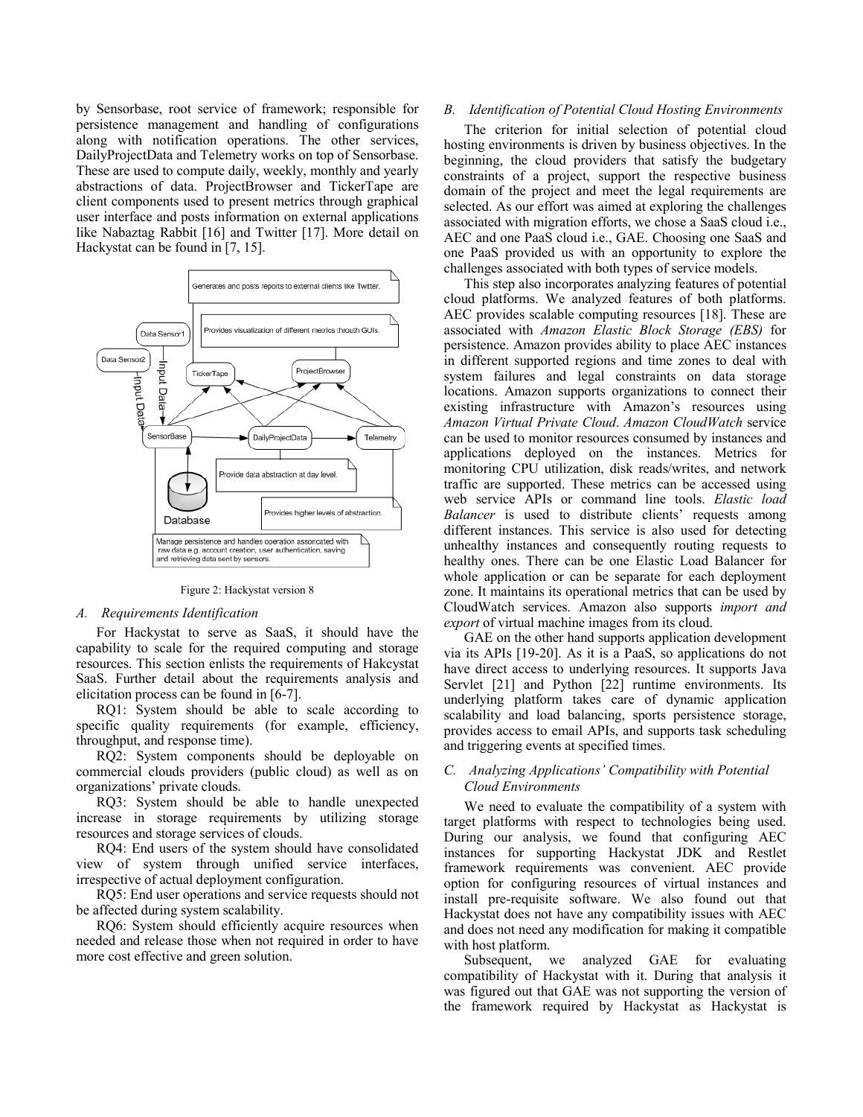by Sensorbase, root service of framework; responsible for persistence management and handling of configurations along with notification operations. The other services, DailyProjectData and Telemetry works on top of Sensorbase. These are used to compute daily, weekly, monthly and yearly abstractions of data. ProjectBrowser and TickerTape are client components used to present metrics through graphical user interface and posts information on external applications like Nabaztag Rabbit [16] and Twitter [17]. More detail on Hackystat can be found in [7, 15].



Figure 2: Hackystat version 8

#### *A. Requirements Identification*

For Hackystat to serve as SaaS, it should have the capability to scale for the required computing and storage resources. This section enlists the requirements of Hakcystat SaaS. Further detail about the requirements analysis and elicitation process can be found in [6-7].

RQ1: System should be able to scale according to specific quality requirements (for example, efficiency, throughput, and response time).

RQ2: System components should be deployable on commercial clouds providers (public cloud) as well as on organizations' private clouds.

RQ3: System should be able to handle unexpected increase in storage requirements by utilizing storage resources and storage services of clouds.

RQ4: End users of the system should have consolidated view of system through unified service interfaces, irrespective of actual deployment configuration.

RQ5: End user operations and service requests should not be affected during system scalability.

RQ6: System should efficiently acquire resources when needed and release those when not required in order to have more cost effective and green solution.

#### *B. Identification of Potential Cloud Hosting Environments*

The criterion for initial selection of potential cloud hosting environments is driven by business objectives. In the beginning, the cloud providers that satisfy the budgetary constraints of a project, support the respective business domain of the project and meet the legal requirements are selected. As our effort was aimed at exploring the challenges associated with migration efforts, we chose a SaaS cloud i.e., AEC and one PaaS cloud i.e., GAE. Choosing one SaaS and one PaaS provided us with an opportunity to explore the challenges associated with both types of service models.

This step also incorporates analyzing features of potential cloud platforms. We analyzed features of both platforms. AEC provides scalable computing resources [18]. These are associated with *Amazon Elastic Block Storage (EBS)* for persistence. Amazon provides ability to place AEC instances in different supported regions and time zones to deal with system failures and legal constraints on data storage locations. Amazon supports organizations to connect their existing infrastructure with Amazon's resources using *Amazon Virtual Private Cloud*. *Amazon CloudWatch* service can be used to monitor resources consumed by instances and applications deployed on the instances. Metrics for monitoring CPU utilization, disk reads/writes, and network traffic are supported. These metrics can be accessed using web service APIs or command line tools. *Elastic load Balancer* is used to distribute clients' requests among different instances. This service is also used for detecting unhealthy instances and consequently routing requests to healthy ones. There can be one Elastic Load Balancer for whole application or can be separate for each deployment zone. It maintains its operational metrics that can be used by CloudWatch services. Amazon also supports *import and export* of virtual machine images from its cloud.

GAE on the other hand supports application development via its APIs [19-20]. As it is a PaaS, so applications do not have direct access to underlying resources. It supports Java Servlet [21] and Python [22] runtime environments. Its underlying platform takes care of dynamic application scalability and load balancing, sports persistence storage, provides access to email APIs, and supports task scheduling and triggering events at specified times.

#### *C. Analyzing Applications' Compatibility with Potential Cloud Environments*

We need to evaluate the compatibility of a system with target platforms with respect to technologies being used. During our analysis, we found that configuring AEC instances for supporting Hackystat JDK and Restlet framework requirements was convenient. AEC provide option for configuring resources of virtual instances and install pre-requisite software. We also found out that Hackystat does not have any compatibility issues with AEC and does not need any modification for making it compatible with host platform.

Subsequent, we analyzed GAE for evaluating compatibility of Hackystat with it. During that analysis it was figured out that GAE was not supporting the version of the framework required by Hackystat as Hackystat is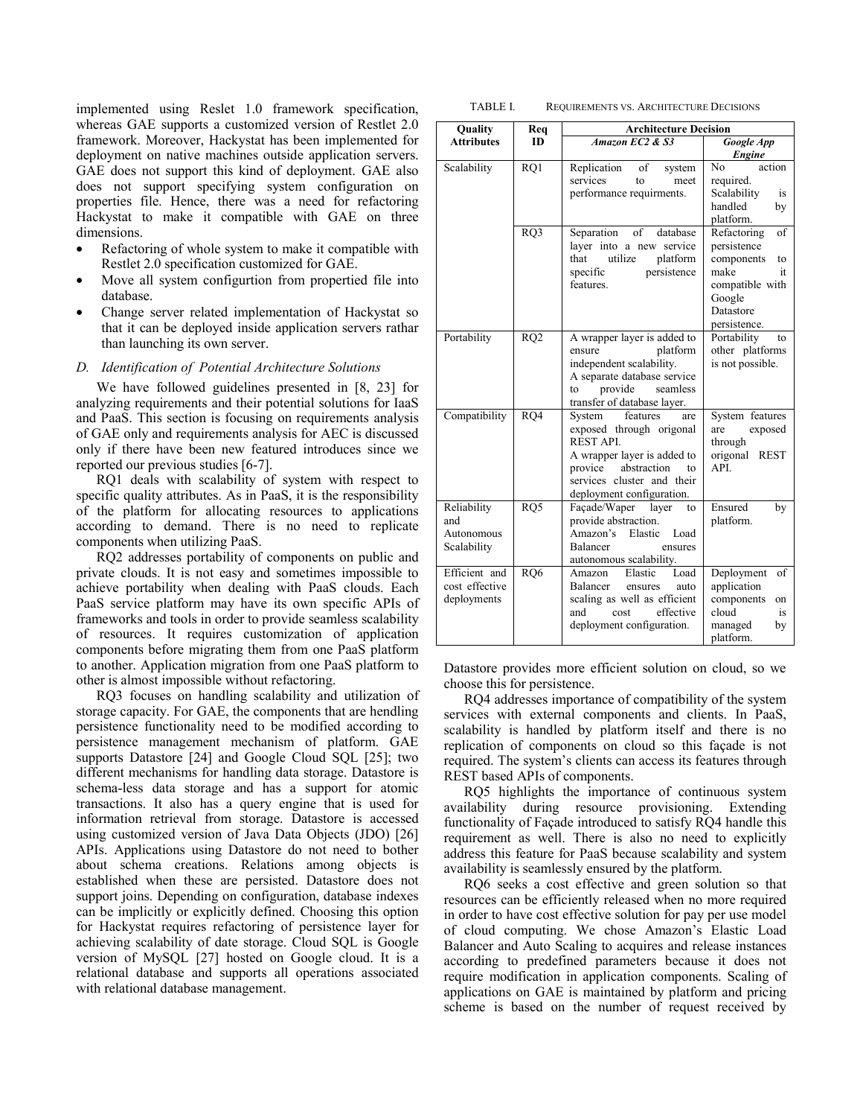implemented using Reslet 1.0 framework specification, whereas GAE supports a customized version of Restlet 2.0 framework. Moreover, Hackystat has been implemented for deployment on native machines outside application servers. GAE does not support this kind of deployment. GAE also does not support specifying system configuration on properties file. Hence, there was a need for refactoring Hackystat to make it compatible with GAE on three dimensions.

- Refactoring of whole system to make it compatible with Restlet 2.0 specification customized for GAE.
- Move all system configurtion from propertied file into database.
- Change server related implementation of Hackystat so that it can be deployed inside application servers rathar than launching its own server.

#### *D. Identification of Potential Architecture Solutions*

We have followed guidelines presented in [8, 23] for analyzing requirements and their potential solutions for IaaS and PaaS. This section is focusing on requirements analysis of GAE only and requirements analysis for AEC is discussed only if there have been new featured introduces since we reported our previous studies [6-7].

RQ1 deals with scalability of system with respect to specific quality attributes. As in PaaS, it is the responsibility of the platform for allocating resources to applications according to demand. There is no need to replicate components when utilizing PaaS.

RQ2 addresses portability of components on public and private clouds. It is not easy and sometimes impossible to achieve portability when dealing with PaaS clouds. Each PaaS service platform may have its own specific APIs of frameworks and tools in order to provide seamless scalability of resources. It requires customization of application components before migrating them from one PaaS platform to another. Application migration from one PaaS platform to other is almost impossible without refactoring.

RQ3 focuses on handling scalability and utilization of storage capacity. For GAE, the components that are hendling persistence functionality need to be modified according to persistence management mechanism of platform. GAE supports Datastore [24] and Google Cloud SQL [25]; two different mechanisms for handling data storage. Datastore is schema-less data storage and has a support for atomic transactions. It also has a query engine that is used for information retrieval from storage. Datastore is accessed using customized version of Java Data Objects (JDO) [26] APIs. Applications using Datastore do not need to bother about schema creations. Relations among objects is established when these are persisted. Datastore does not support joins. Depending on configuration, database indexes can be implicitly or explicitly defined. Choosing this option for Hackystat requires refactoring of persistence layer for achieving scalability of date storage. Cloud SQL is Google version of MySQL [27] hosted on Google cloud. It is a relational database and supports all operations associated with relational database management.

| TABLE I. |  | <b>REQUIREMENTS VS. ARCHITECTURE DECISIONS</b> |  |
|----------|--|------------------------------------------------|--|
|----------|--|------------------------------------------------|--|

| Quality                                         | Req             | <b>Architecture Decision</b>                                                                                                                                                                       |                                                                                                                              |  |
|-------------------------------------------------|-----------------|----------------------------------------------------------------------------------------------------------------------------------------------------------------------------------------------------|------------------------------------------------------------------------------------------------------------------------------|--|
| <b>Attributes</b>                               | ID              | Amazon EC2 & S3                                                                                                                                                                                    | Google App                                                                                                                   |  |
|                                                 |                 |                                                                                                                                                                                                    | Engine                                                                                                                       |  |
| Scalability                                     | RQ1             | Replication<br>of<br>system<br>services<br>to<br>meet<br>performance requirments.                                                                                                                  | N <sub>0</sub><br>action<br>required.<br>Scalability<br>is<br>handled<br>by<br>platform.                                     |  |
|                                                 | RQ3             | Separation<br>of<br>database<br>layer into a new service<br>utilize<br>that<br>platform<br>specific<br>persistence<br>features.                                                                    | Refactoring<br>of<br>persistence<br>components<br>to<br>make<br>it<br>compatible with<br>Google<br>Datastore<br>persistence. |  |
| Portability                                     | RQ <sub>2</sub> | A wrapper layer is added to<br>platform<br>ensure<br>independent scalability.<br>A separate database service<br>provide<br>seamless<br>to<br>transfer of database layer.                           | Portability<br>to<br>other platforms<br>is not possible.                                                                     |  |
| Compatibility                                   | RO <sub>4</sub> | features<br>System<br>are<br>exposed through origonal<br><b>REST APL</b><br>A wrapper layer is added to<br>abstraction<br>provice<br>to<br>services cluster and their<br>deployment configuration. | System features<br>exposed<br>are<br>through<br>origonal<br><b>REST</b><br>APL                                               |  |
| Reliability<br>and<br>Autonomous<br>Scalability | RQ5             | layer<br>Façade/Waper<br>to<br>provide abstraction.<br>Amazon's<br>Elastic<br>Load<br>Balancer<br>ensures<br>autonomous scalability.                                                               | Ensured<br>by<br>platform.                                                                                                   |  |
| Efficient and<br>cost effective<br>deployments  | RQ6             | Elastic<br>Load<br>Amazon<br>Balancer<br>auto<br>ensures<br>scaling as well as efficient<br>effective<br>and<br>cost<br>deployment configuration.                                                  | Deployment<br>of<br>application<br>components<br>on<br>cloud<br>is<br>managed<br>by<br>platform.                             |  |

Datastore provides more efficient solution on cloud, so we choose this for persistence.

RQ4 addresses importance of compatibility of the system services with external components and clients. In PaaS, scalability is handled by platform itself and there is no replication of components on cloud so this façade is not required. The system's clients can access its features through REST based APIs of components.

RQ5 highlights the importance of continuous system availability during resource provisioning. Extending functionality of Façade introduced to satisfy RQ4 handle this requirement as well. There is also no need to explicitly address this feature for PaaS because scalability and system availability is seamlessly ensured by the platform.

RQ6 seeks a cost effective and green solution so that resources can be efficiently released when no more required in order to have cost effective solution for pay per use model of cloud computing. We chose Amazon's Elastic Load Balancer and Auto Scaling to acquires and release instances according to predefined parameters because it does not require modification in application components. Scaling of applications on GAE is maintained by platform and pricing scheme is based on the number of request received by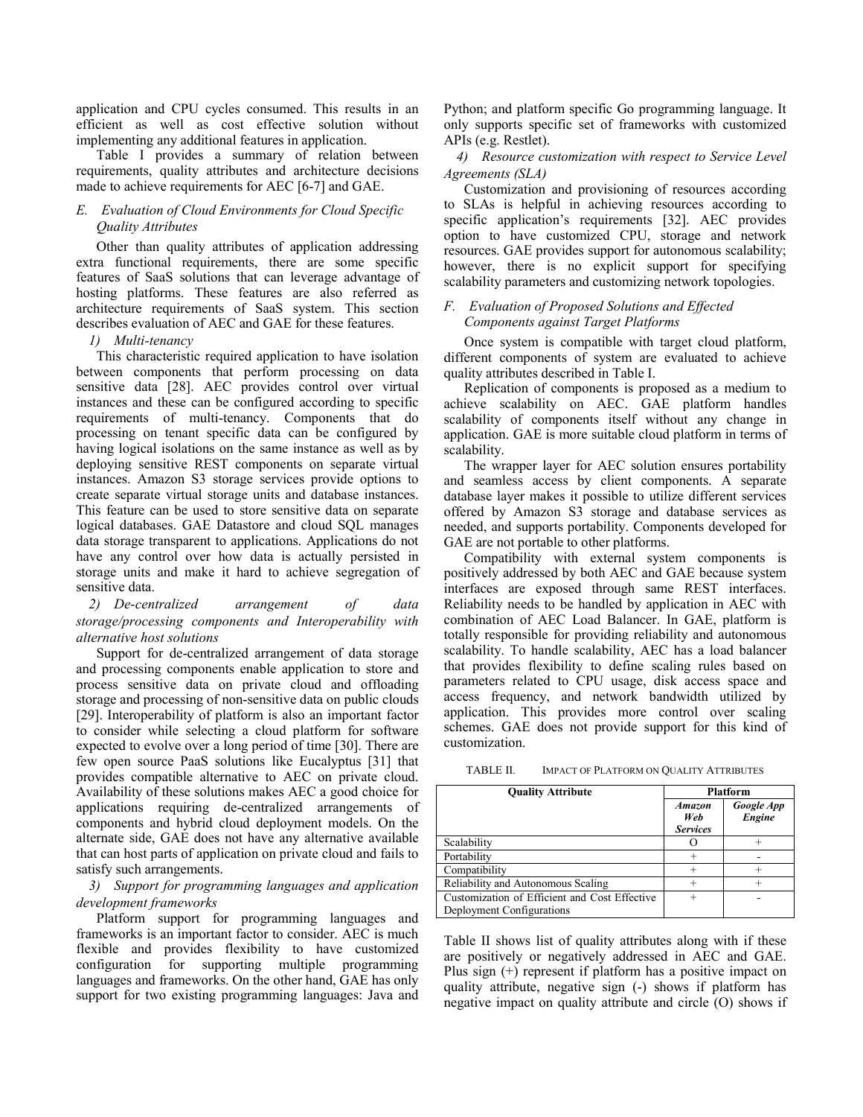application and CPU cycles consumed. This results in an efficient as well as cost effective solution without implementing any additional features in application.

Table I provides a summary of relation between requirements, quality attributes and architecture decisions made to achieve requirements for AEC [6-7] and GAE.

# *E. Evaluation of Cloud Environments for Cloud Specific Quality Attributes*

Other than quality attributes of application addressing extra functional requirements, there are some specific features of SaaS solutions that can leverage advantage of hosting platforms. These features are also referred as architecture requirements of SaaS system. This section describes evaluation of AEC and GAE for these features.

#### *1) Multi-tenancy*

This characteristic required application to have isolation between components that perform processing on data sensitive data [28]. AEC provides control over virtual instances and these can be configured according to specific requirements of multi-tenancy. Components that do processing on tenant specific data can be configured by having logical isolations on the same instance as well as by deploying sensitive REST components on separate virtual instances. Amazon S3 storage services provide options to create separate virtual storage units and database instances. This feature can be used to store sensitive data on separate logical databases. GAE Datastore and cloud SQL manages data storage transparent to applications. Applications do not have any control over how data is actually persisted in storage units and make it hard to achieve segregation of sensitive data.

*2) De-centralized arrangement of data storage/processing components and Interoperability with alternative host solutions* 

Support for de-centralized arrangement of data storage and processing components enable application to store and process sensitive data on private cloud and offloading storage and processing of non-sensitive data on public clouds [29]. Interoperability of platform is also an important factor to consider while selecting a cloud platform for software expected to evolve over a long period of time [30]. There are few open source PaaS solutions like Eucalyptus [31] that provides compatible alternative to AEC on private cloud. Availability of these solutions makes AEC a good choice for applications requiring de-centralized arrangements of components and hybrid cloud deployment models. On the alternate side, GAE does not have any alternative available that can host parts of application on private cloud and fails to satisfy such arrangements.

# *3) Support for programming languages and application development frameworks*

Platform support for programming languages and frameworks is an important factor to consider. AEC is much flexible and provides flexibility to have customized configuration for supporting multiple programming languages and frameworks. On the other hand, GAE has only support for two existing programming languages: Java and Python; and platform specific Go programming language. It only supports specific set of frameworks with customized APIs (e.g. Restlet).

# *4) Resource customization with respect to Service Level Agreements (SLA)*

Customization and provisioning of resources according to SLAs is helpful in achieving resources according to specific application's requirements [32]. AEC provides option to have customized CPU, storage and network resources. GAE provides support for autonomous scalability; however, there is no explicit support for specifying scalability parameters and customizing network topologies.

#### *F. Evaluation of Proposed Solutions and Effected Components against Target Platforms*

Once system is compatible with target cloud platform, different components of system are evaluated to achieve quality attributes described in Table I.

Replication of components is proposed as a medium to achieve scalability on AEC. GAE platform handles scalability of components itself without any change in application. GAE is more suitable cloud platform in terms of scalability.

The wrapper layer for AEC solution ensures portability and seamless access by client components. A separate database layer makes it possible to utilize different services offered by Amazon S3 storage and database services as needed, and supports portability. Components developed for GAE are not portable to other platforms.

Compatibility with external system components is positively addressed by both AEC and GAE because system interfaces are exposed through same REST interfaces. Reliability needs to be handled by application in AEC with combination of AEC Load Balancer. In GAE, platform is totally responsible for providing reliability and autonomous scalability. To handle scalability, AEC has a load balancer that provides flexibility to define scaling rules based on parameters related to CPU usage, disk access space and access frequency, and network bandwidth utilized by application. This provides more control over scaling schemes. GAE does not provide support for this kind of customization.

TABLE II. IMPACT OF PLATFORM ON QUALITY ATTRIBUTES

| <b>Quality Attribute</b>                      | <b>Platform</b>                  |                      |
|-----------------------------------------------|----------------------------------|----------------------|
|                                               | Amazon<br>Web<br><b>Services</b> | Google App<br>Engine |
| Scalability                                   |                                  |                      |
| Portability                                   |                                  |                      |
| Compatibility                                 |                                  |                      |
| Reliability and Autonomous Scaling            |                                  |                      |
| Customization of Efficient and Cost Effective |                                  |                      |
| Deployment Configurations                     |                                  |                      |

Table II shows list of quality attributes along with if these are positively or negatively addressed in AEC and GAE. Plus sign (+) represent if platform has a positive impact on quality attribute, negative sign (-) shows if platform has negative impact on quality attribute and circle (O) shows if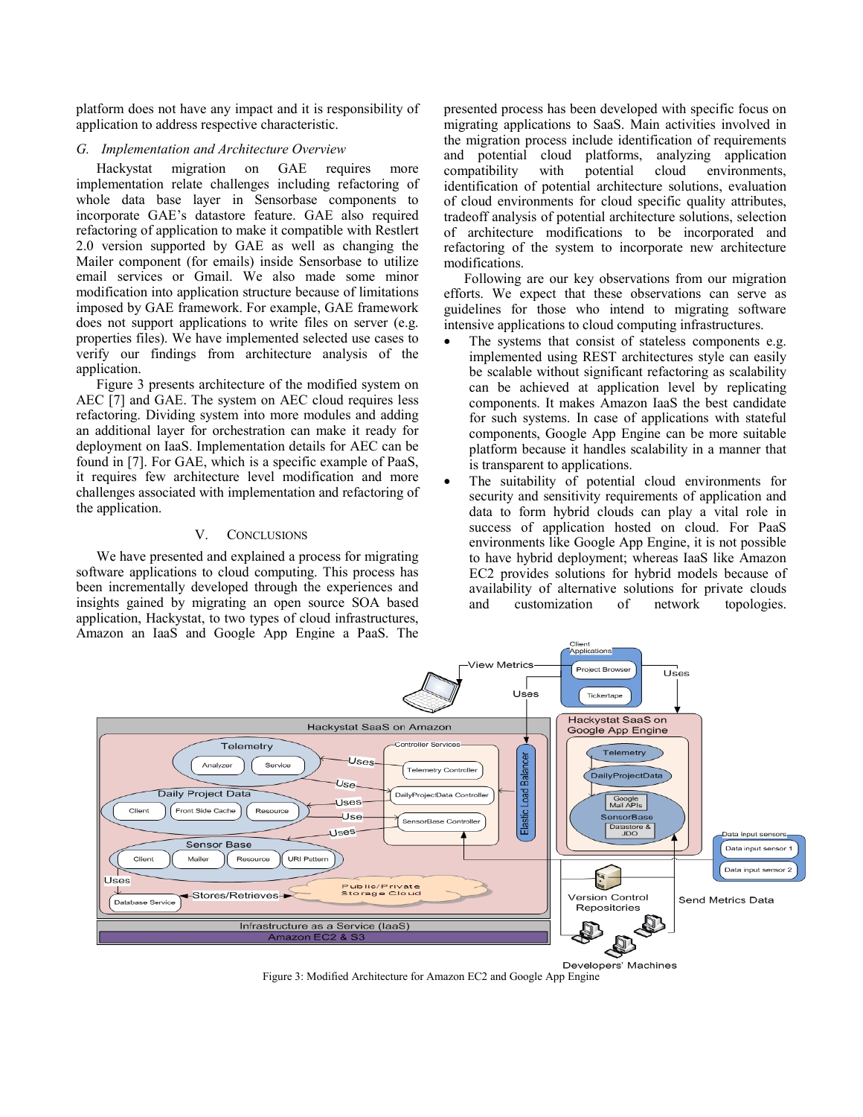platform does not have any impact and it is responsibility of application to address respective characteristic.

#### *G. Implementation and Architecture Overview*

Hackystat migration on GAE requires more implementation relate challenges including refactoring of whole data base layer in Sensorbase components to incorporate GAE's datastore feature. GAE also required refactoring of application to make it compatible with Restlert 2.0 version supported by GAE as well as changing the Mailer component (for emails) inside Sensorbase to utilize email services or Gmail. We also made some minor modification into application structure because of limitations imposed by GAE framework. For example, GAE framework does not support applications to write files on server (e.g. properties files). We have implemented selected use cases to verify our findings from architecture analysis of the application.

Figure 3 presents architecture of the modified system on AEC [7] and GAE. The system on AEC cloud requires less refactoring. Dividing system into more modules and adding an additional layer for orchestration can make it ready for deployment on IaaS. Implementation details for AEC can be found in [7]. For GAE, which is a specific example of PaaS, it requires few architecture level modification and more challenges associated with implementation and refactoring of the application.

#### V. CONCLUSIONS

We have presented and explained a process for migrating software applications to cloud computing. This process has been incrementally developed through the experiences and insights gained by migrating an open source SOA based application, Hackystat, to two types of cloud infrastructures, Amazon an IaaS and Google App Engine a PaaS. The presented process has been developed with specific focus on migrating applications to SaaS. Main activities involved in the migration process include identification of requirements and potential cloud platforms, analyzing application compatibility with potential cloud environments, identification of potential architecture solutions, evaluation of cloud environments for cloud specific quality attributes, tradeoff analysis of potential architecture solutions, selection of architecture modifications to be incorporated and refactoring of the system to incorporate new architecture modifications.

Following are our key observations from our migration efforts. We expect that these observations can serve as guidelines for those who intend to migrating software intensive applications to cloud computing infrastructures.

- The systems that consist of stateless components e.g. implemented using REST architectures style can easily be scalable without significant refactoring as scalability can be achieved at application level by replicating components. It makes Amazon IaaS the best candidate for such systems. In case of applications with stateful components, Google App Engine can be more suitable platform because it handles scalability in a manner that is transparent to applications.
- The suitability of potential cloud environments for security and sensitivity requirements of application and data to form hybrid clouds can play a vital role in success of application hosted on cloud. For PaaS environments like Google App Engine, it is not possible to have hybrid deployment; whereas IaaS like Amazon EC2 provides solutions for hybrid models because of availability of alternative solutions for private clouds and customization of network topologies.



Figure 3: Modified Architecture for Amazon EC2 and Google App Engine